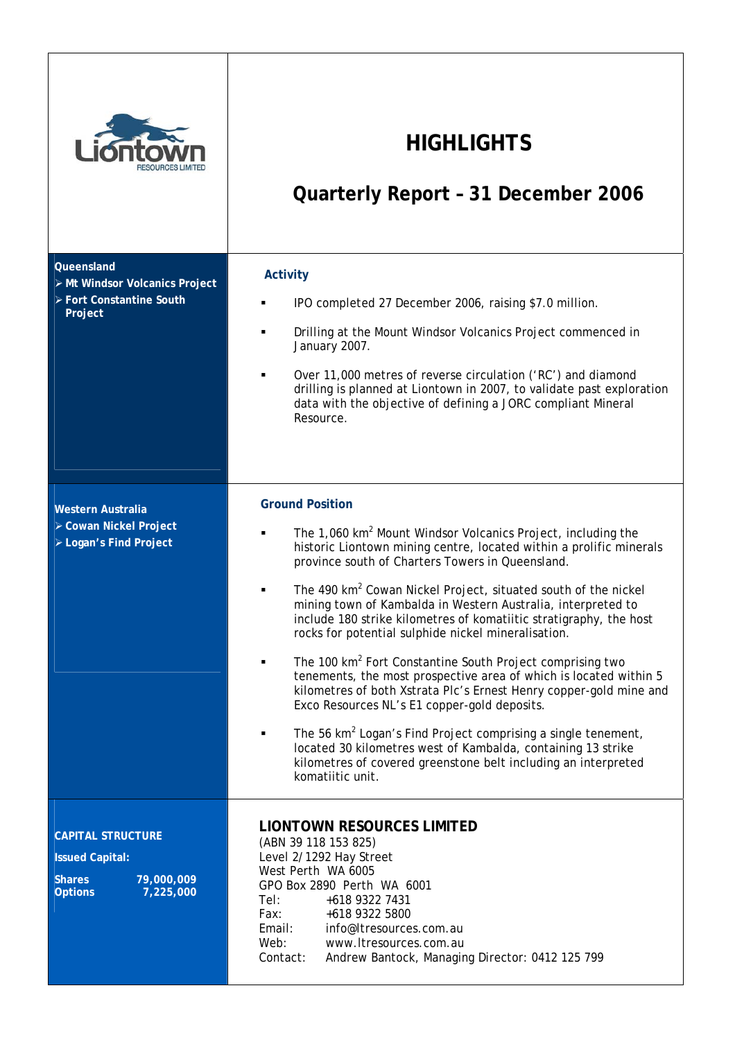

## **HIGHLIGHTS**

# **Quarterly Report – 31 December 2006**

| Queensland<br>> Mt Windsor Volcanics Project<br>> Fort Constantine South<br>Project                              | <b>Activity</b><br>IPO completed 27 December 2006, raising \$7.0 million.<br>٠<br>Drilling at the Mount Windsor Volcanics Project commenced in<br>January 2007.<br>Over 11,000 metres of reverse circulation ('RC') and diamond<br>drilling is planned at Liontown in 2007, to validate past exploration<br>data with the objective of defining a JORC compliant Mineral<br>Resource.                                                                                                                                                                                                                                                                                                                                                                                                                                                                                                                                                                                                                                                  |  |  |  |  |
|------------------------------------------------------------------------------------------------------------------|----------------------------------------------------------------------------------------------------------------------------------------------------------------------------------------------------------------------------------------------------------------------------------------------------------------------------------------------------------------------------------------------------------------------------------------------------------------------------------------------------------------------------------------------------------------------------------------------------------------------------------------------------------------------------------------------------------------------------------------------------------------------------------------------------------------------------------------------------------------------------------------------------------------------------------------------------------------------------------------------------------------------------------------|--|--|--|--|
| Western Australia<br>> Cowan Nickel Project<br>> Logan's Find Project                                            | <b>Ground Position</b><br>The 1,060 km <sup>2</sup> Mount Windsor Volcanics Project, including the<br>historic Liontown mining centre, located within a prolific minerals<br>province south of Charters Towers in Queensland.<br>The 490 km <sup>2</sup> Cowan Nickel Project, situated south of the nickel<br>٠<br>mining town of Kambalda in Western Australia, interpreted to<br>include 180 strike kilometres of komatiitic stratigraphy, the host<br>rocks for potential sulphide nickel mineralisation.<br>The 100 km <sup>2</sup> Fort Constantine South Project comprising two<br>tenements, the most prospective area of which is located within 5<br>kilometres of both Xstrata Plc's Ernest Henry copper-gold mine and<br>Exco Resources NL's E1 copper-gold deposits.<br>The 56 km <sup>2</sup> Logan's Find Project comprising a single tenement,<br>$\blacksquare$<br>located 30 kilometres west of Kambalda, containing 13 strike<br>kilometres of covered greenstone belt including an interpreted<br>komatiitic unit. |  |  |  |  |
| <b>CAPITAL STRUCTURE</b><br><b>Issued Capital:</b><br>79,000,009<br><b>Shares</b><br>7,225,000<br><b>Options</b> | <b>LIONTOWN RESOURCES LIMITED</b><br>(ABN 39 118 153 825)<br>Level 2/1292 Hay Street<br>West Perth WA 6005<br>GPO Box 2890 Perth WA 6001<br>Tel:<br>+618 9322 7431<br>Fax:<br>+618 9322 5800<br>Email:<br>info@Itresources.com.au<br>Web:<br>www.Itresources.com.au<br>Contact:<br>Andrew Bantock, Managing Director: 0412 125 799                                                                                                                                                                                                                                                                                                                                                                                                                                                                                                                                                                                                                                                                                                     |  |  |  |  |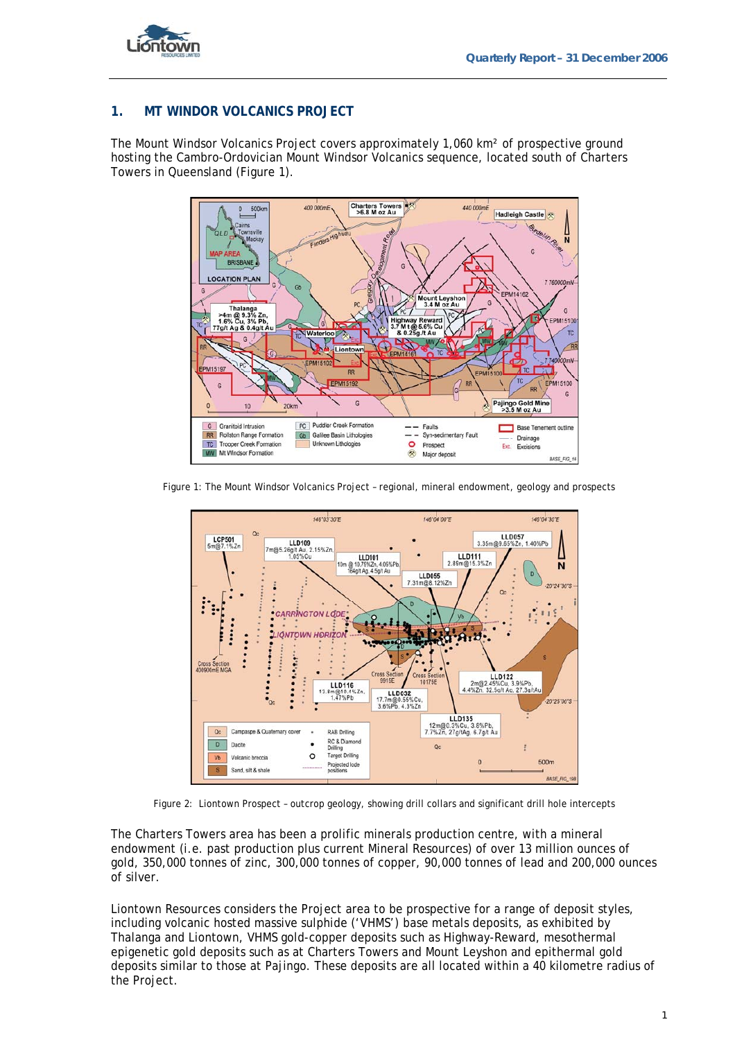

### **1. MT WINDOR VOLCANICS PROJECT**

The Mount Windsor Volcanics Project covers approximately 1,060 km² of prospective ground hosting the Cambro-Ordovician Mount Windsor Volcanics sequence, located south of Charters Towers in Queensland (Figure 1).



Figure 1: The Mount Windsor Volcanics Project – regional, mineral endowment, geology and prospects



Figure 2: Liontown Prospect – outcrop geology, showing drill collars and significant drill hole intercepts

The Charters Towers area has been a prolific minerals production centre, with a mineral endowment (i.e. past production plus current Mineral Resources) of over 13 million ounces of gold, 350,000 tonnes of zinc, 300,000 tonnes of copper, 90,000 tonnes of lead and 200,000 ounces of silver.

Liontown Resources considers the Project area to be prospective for a range of deposit styles, including volcanic hosted massive sulphide ('VHMS') base metals deposits, as exhibited by Thalanga and Liontown, VHMS gold-copper deposits such as Highway-Reward, mesothermal epigenetic gold deposits such as at Charters Towers and Mount Leyshon and epithermal gold deposits similar to those at Pajingo. These deposits are all located within a 40 kilometre radius of the Project.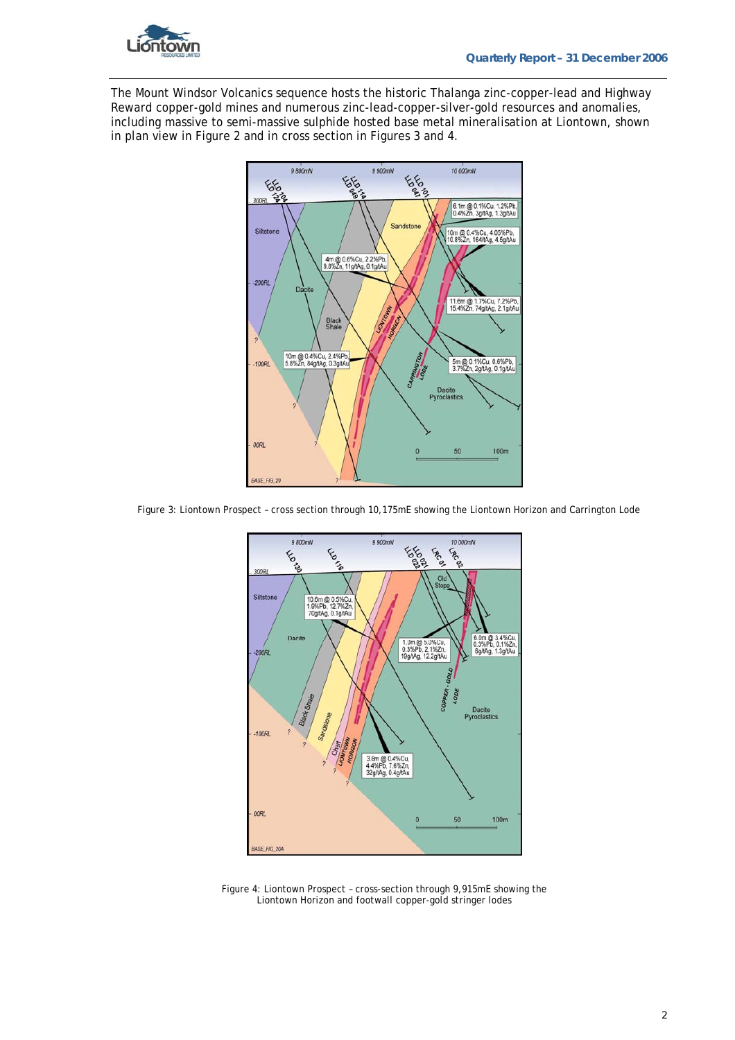

The Mount Windsor Volcanics sequence hosts the historic Thalanga zinc-copper-lead and Highway Reward copper-gold mines and numerous zinc-lead-copper-silver-gold resources and anomalies, including massive to semi-massive sulphide hosted base metal mineralisation at Liontown, shown in plan view in Figure 2 and in cross section in Figures 3 and 4.



Figure 3: Liontown Prospect – cross section through 10,175mE showing the Liontown Horizon and Carrington Lode



Figure 4: Liontown Prospect – cross-section through 9,915mE showing the Liontown Horizon and footwall copper-gold stringer lodes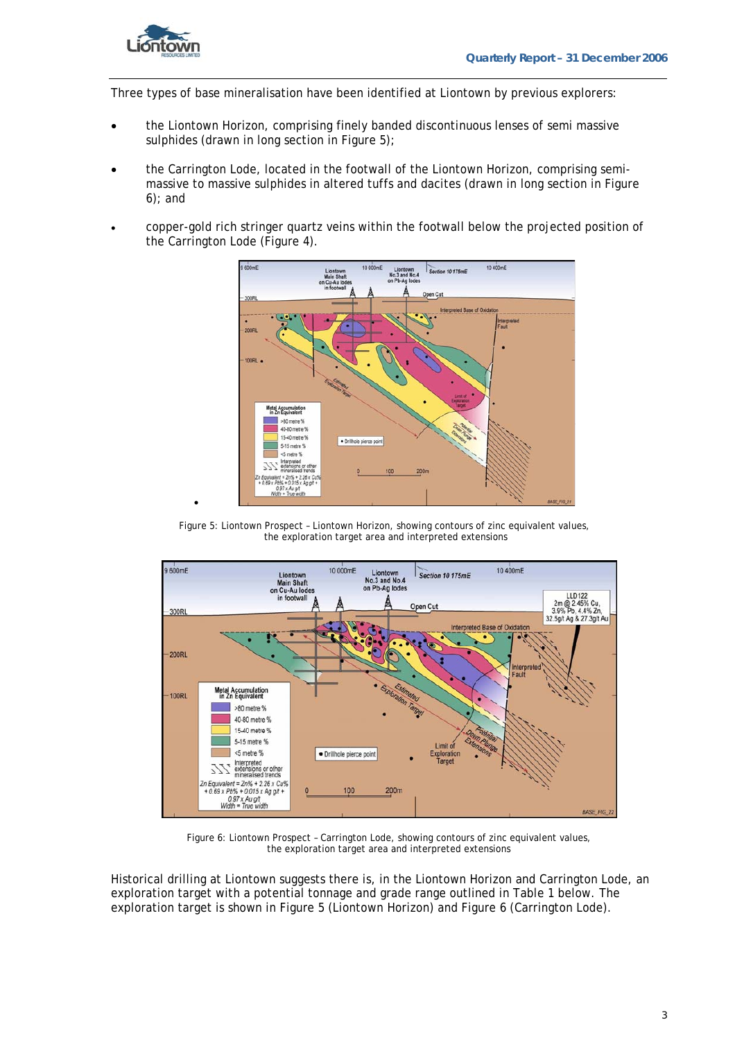

•

Three types of base mineralisation have been identified at Liontown by previous explorers:

- the Liontown Horizon, comprising finely banded discontinuous lenses of semi massive sulphides (drawn in long section in Figure 5);
- the Carrington Lode, located in the footwall of the Liontown Horizon, comprising semimassive to massive sulphides in altered tuffs and dacites (drawn in long section in Figure 6); and
- copper-gold rich stringer quartz veins within the footwall below the projected position of the Carrington Lode (Figure 4).



Figure 5: Liontown Prospect – Liontown Horizon, showing contours of zinc equivalent values, the exploration target area and interpreted extensions



Figure 6: Liontown Prospect – Carrington Lode, showing contours of zinc equivalent values, the exploration target area and interpreted extensions

Historical drilling at Liontown suggests there is, in the Liontown Horizon and Carrington Lode, an exploration target with a potential tonnage and grade range outlined in Table 1 below. The exploration target is shown in Figure 5 (Liontown Horizon) and Figure 6 (Carrington Lode).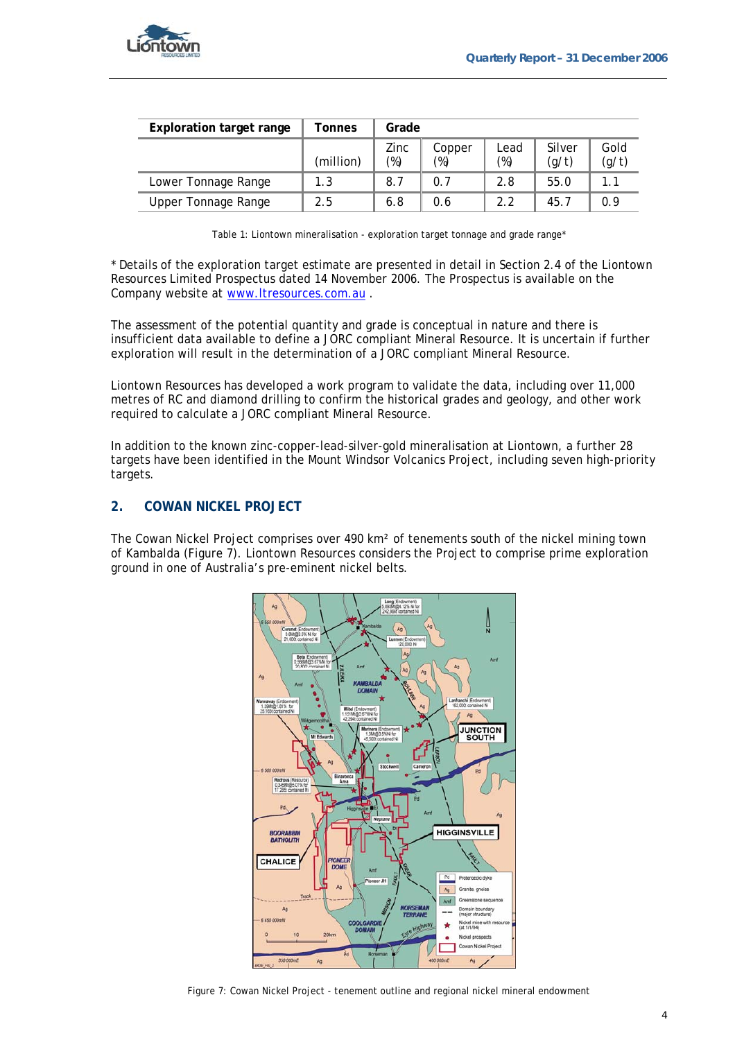

| Exploration target range | Tonnes    | Grade          |                  |                |                 |               |
|--------------------------|-----------|----------------|------------------|----------------|-----------------|---------------|
|                          | (million) | Zinc<br>$(\%)$ | Copper<br>$(\%)$ | Lead<br>$(\%)$ | Silver<br>(g/t) | Gold<br>(g/t) |
| Lower Tonnage Range      | 1.3       | 8.7            | 0.7              | 2.8            | 55.0            | 1.1           |
| Upper Tonnage Range      | 2.5       | 6.8            | 0.6              | 2.2            | 45.7            | 0.9           |

Table 1: Liontown mineralisation - exploration target tonnage and grade range\*

\* Details of the exploration target estimate are presented in detail in Section 2.4 of the Liontown Resources Limited Prospectus dated 14 November 2006. The Prospectus is available on the Company website at www.ltresources.com.au .

The assessment of the potential quantity and grade is conceptual in nature and there is insufficient data available to define a JORC compliant Mineral Resource. It is uncertain if further exploration will result in the determination of a JORC compliant Mineral Resource.

Liontown Resources has developed a work program to validate the data, including over 11,000 metres of RC and diamond drilling to confirm the historical grades and geology, and other work required to calculate a JORC compliant Mineral Resource.

In addition to the known zinc-copper-lead-silver-gold mineralisation at Liontown, a further 28 targets have been identified in the Mount Windsor Volcanics Project, including seven high-priority targets.

#### **2. COWAN NICKEL PROJECT**

The Cowan Nickel Project comprises over 490 km² of tenements south of the nickel mining town of Kambalda (Figure 7). Liontown Resources considers the Project to comprise prime exploration ground in one of Australia's pre-eminent nickel belts.



Figure 7: Cowan Nickel Project - tenement outline and regional nickel mineral endowment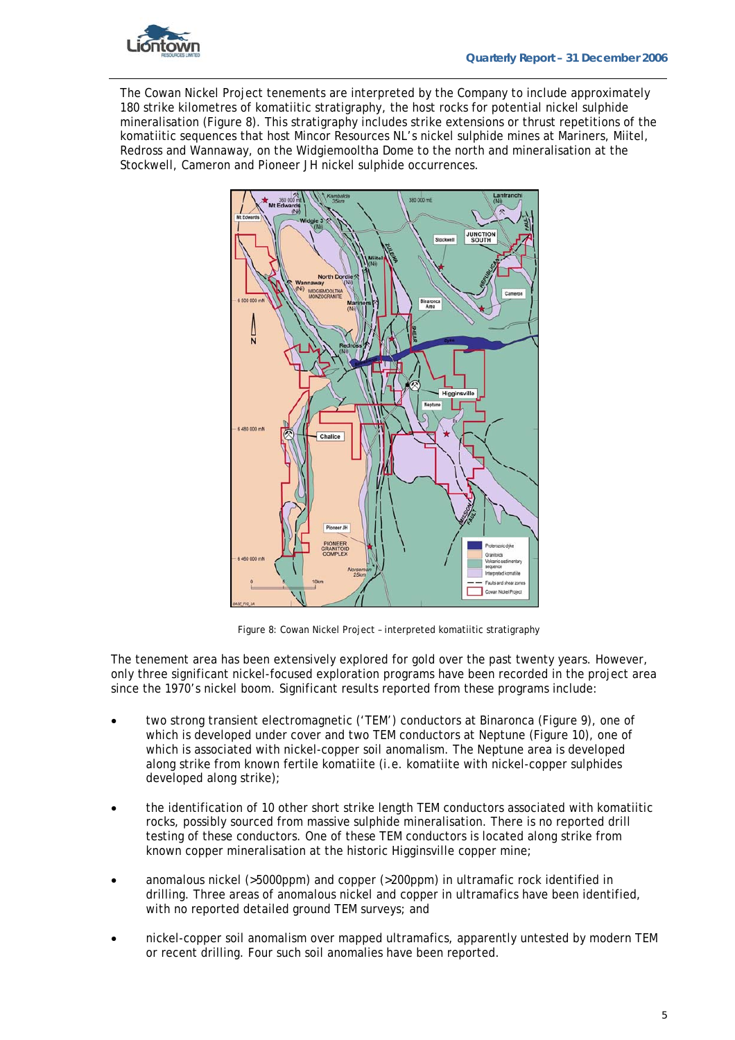

The Cowan Nickel Project tenements are interpreted by the Company to include approximately 180 strike kilometres of komatiitic stratigraphy, the host rocks for potential nickel sulphide mineralisation (Figure 8). This stratigraphy includes strike extensions or thrust repetitions of the komatiitic sequences that host Mincor Resources NL's nickel sulphide mines at Mariners, Miitel, Redross and Wannaway, on the Widgiemooltha Dome to the north and mineralisation at the Stockwell, Cameron and Pioneer JH nickel sulphide occurrences.



Figure 8: Cowan Nickel Project – interpreted komatiitic stratigraphy

The tenement area has been extensively explored for gold over the past twenty years. However, only three significant nickel-focused exploration programs have been recorded in the project area since the 1970's nickel boom. Significant results reported from these programs include:

- two strong transient electromagnetic ('TEM') conductors at Binaronca (Figure 9), one of which is developed under cover and two TEM conductors at Neptune (Figure 10), one of which is associated with nickel-copper soil anomalism. The Neptune area is developed along strike from known fertile komatiite (i.e. komatiite with nickel-copper sulphides developed along strike);
- the identification of 10 other short strike length TEM conductors associated with komatiitic rocks, possibly sourced from massive sulphide mineralisation. There is no reported drill testing of these conductors. One of these TEM conductors is located along strike from known copper mineralisation at the historic Higginsville copper mine;
- anomalous nickel (>5000ppm) and copper (>200ppm) in ultramafic rock identified in drilling. Three areas of anomalous nickel and copper in ultramafics have been identified, with no reported detailed ground TEM surveys; and
- nickel-copper soil anomalism over mapped ultramafics, apparently untested by modern TEM or recent drilling. Four such soil anomalies have been reported.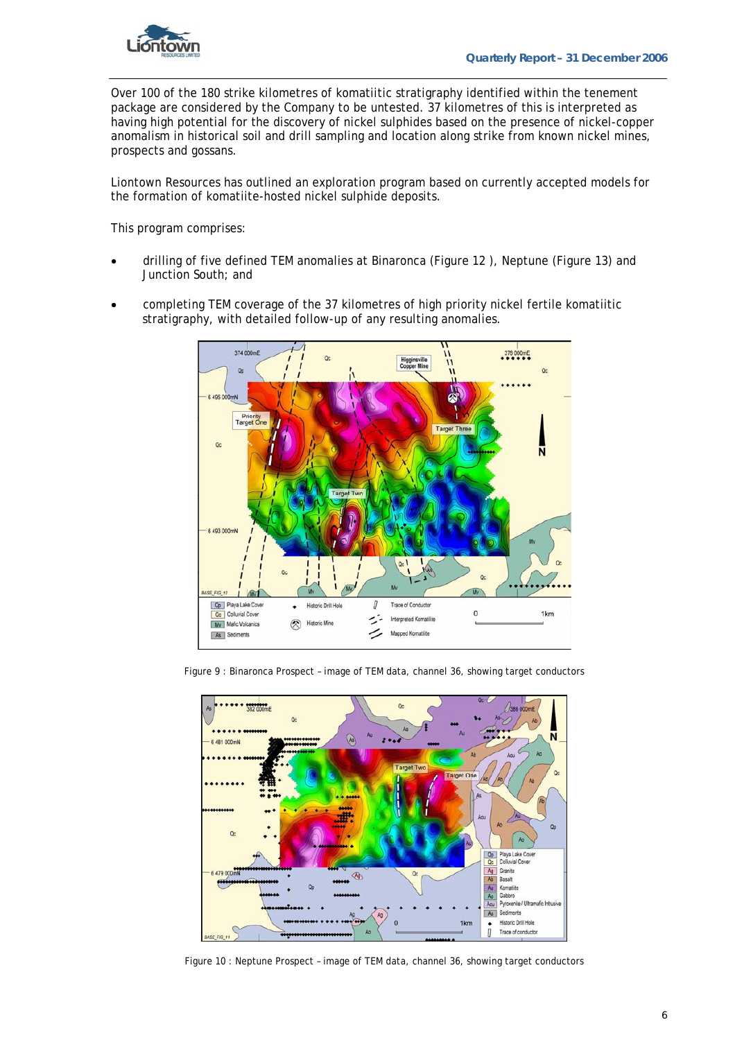

Over 100 of the 180 strike kilometres of komatiitic stratigraphy identified within the tenement package are considered by the Company to be untested. 37 kilometres of this is interpreted as having high potential for the discovery of nickel sulphides based on the presence of nickel-copper anomalism in historical soil and drill sampling and location along strike from known nickel mines, prospects and gossans.

Liontown Resources has outlined an exploration program based on currently accepted models for the formation of komatiite-hosted nickel sulphide deposits.

This program comprises:

- drilling of five defined TEM anomalies at Binaronca (Figure 12 ), Neptune (Figure 13) and Junction South; and
- completing TEM coverage of the 37 kilometres of high priority nickel fertile komatiitic stratigraphy, with detailed follow-up of any resulting anomalies.



Figure 9 : Binaronca Prospect – image of TEM data, channel 36, showing target conductors



Figure 10 : Neptune Prospect – image of TEM data, channel 36, showing target conductors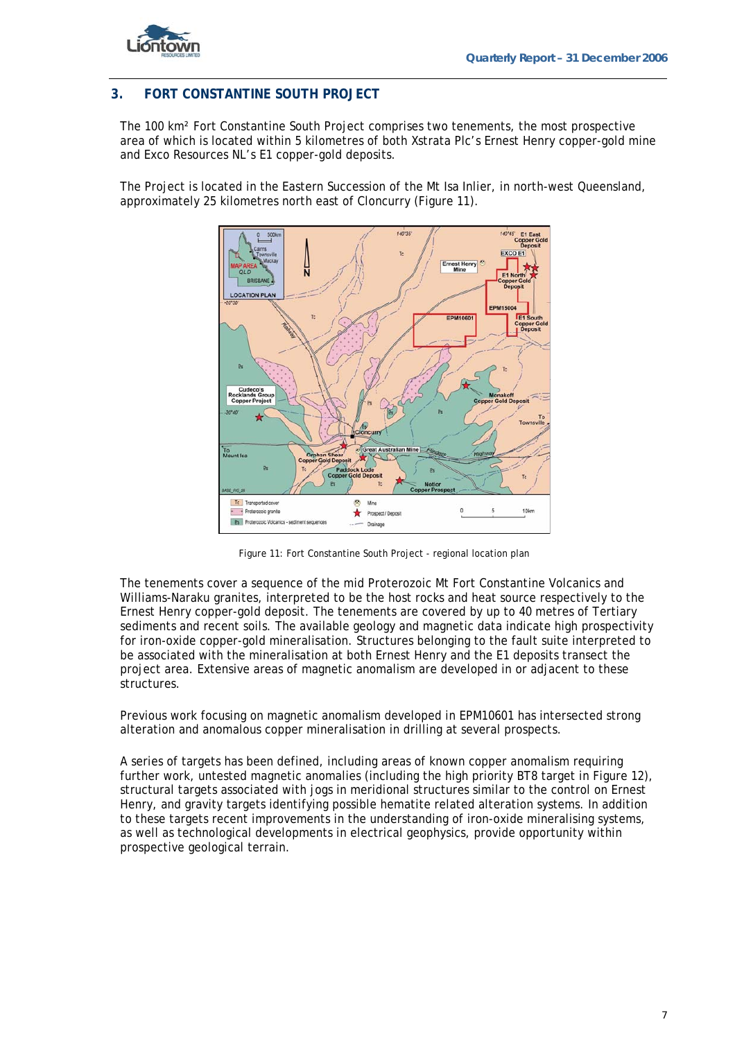

### **3. FORT CONSTANTINE SOUTH PROJECT**

The 100 km² Fort Constantine South Project comprises two tenements, the most prospective area of which is located within 5 kilometres of both Xstrata Plc's Ernest Henry copper-gold mine and Exco Resources NL's E1 copper-gold deposits.

The Project is located in the Eastern Succession of the Mt Isa Inlier, in north-west Queensland, approximately 25 kilometres north east of Cloncurry (Figure 11).



Figure 11: Fort Constantine South Project - regional location plan

The tenements cover a sequence of the mid Proterozoic Mt Fort Constantine Volcanics and Williams-Naraku granites, interpreted to be the host rocks and heat source respectively to the Ernest Henry copper-gold deposit. The tenements are covered by up to 40 metres of Tertiary sediments and recent soils. The available geology and magnetic data indicate high prospectivity for iron-oxide copper-gold mineralisation. Structures belonging to the fault suite interpreted to be associated with the mineralisation at both Ernest Henry and the E1 deposits transect the project area. Extensive areas of magnetic anomalism are developed in or adjacent to these structures.

Previous work focusing on magnetic anomalism developed in EPM10601 has intersected strong alteration and anomalous copper mineralisation in drilling at several prospects.

A series of targets has been defined, including areas of known copper anomalism requiring further work, untested magnetic anomalies (including the high priority BT8 target in Figure 12), structural targets associated with jogs in meridional structures similar to the control on Ernest Henry, and gravity targets identifying possible hematite related alteration systems. In addition to these targets recent improvements in the understanding of iron-oxide mineralising systems, as well as technological developments in electrical geophysics, provide opportunity within prospective geological terrain.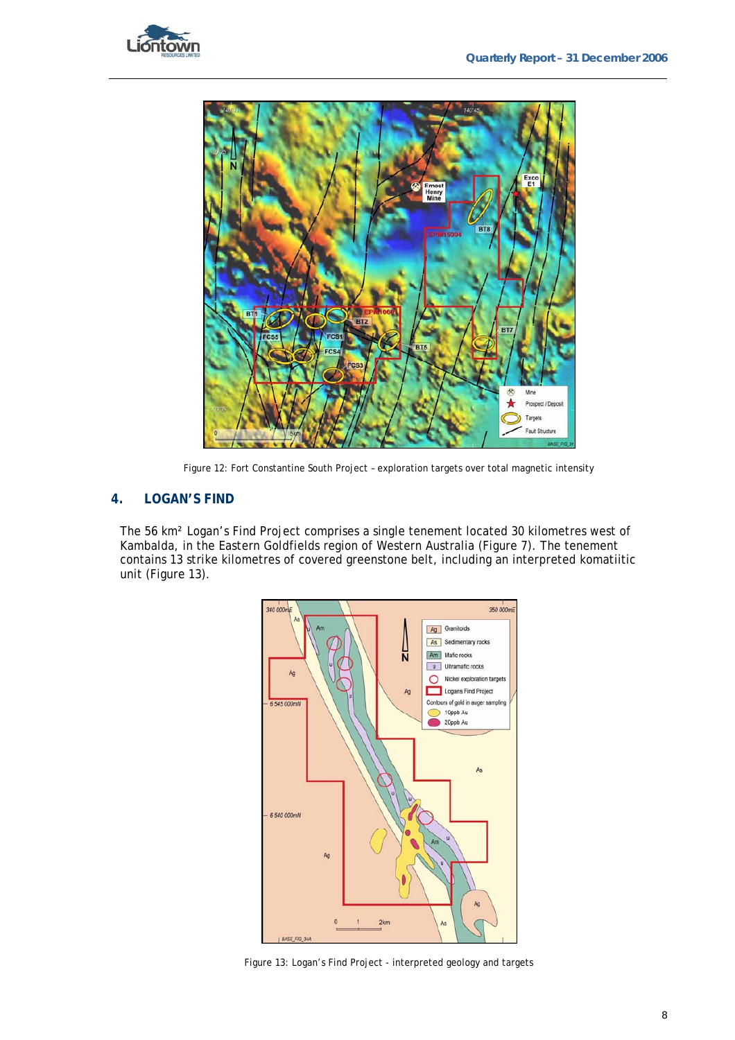



Figure 12: Fort Constantine South Project – exploration targets over total magnetic intensity

#### **4. LOGAN'S FIND**

The 56 km² Logan's Find Project comprises a single tenement located 30 kilometres west of Kambalda, in the Eastern Goldfields region of Western Australia (Figure 7). The tenement contains 13 strike kilometres of covered greenstone belt, including an interpreted komatiitic unit (Figure 13).



Figure 13: Logan's Find Project - interpreted geology and targets